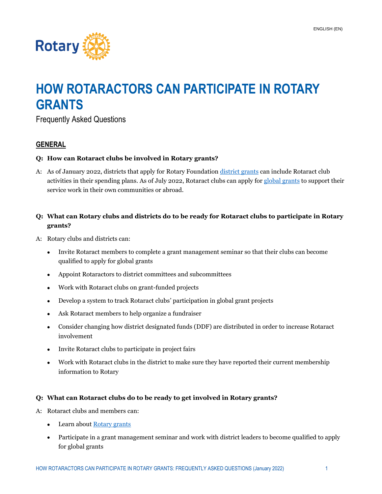

# **HOW ROTARACTORS CAN PARTICIPATE IN ROTARY GRANTS**

Frequently Asked Questions

## **GENERAL**

## **Q: How can Rotaract clubs be involved in Rotary grants?**

A: As of January 2022, districts that apply for Rotary Foundation [district grants](https://my.rotary.org/en/take-action/apply-grants/district-grants) can include Rotaract club activities in their spending plans. As of July 2022, Rotaract clubs can apply for [global grants](https://my.rotary.org/en/take-action/apply-grants/global-grants) to support their service work in their own communities or abroad.

# **Q: What can Rotary clubs and districts do to be ready for Rotaract clubs to participate in Rotary grants?**

- A: Rotary clubs and districts can:
	- Invite Rotaract members to complete a grant management seminar so that their clubs can become qualified to apply for global grants
	- Appoint Rotaractors to district committees and subcommittees
	- Work with Rotaract clubs on grant-funded projects
	- Develop a system to track Rotaract clubs' participation in global grant projects
	- Ask Rotaract members to help organize a fundraiser
	- Consider changing how district designated funds (DDF) are distributed in order to increase Rotaract involvement
	- Invite Rotaract clubs to participate in project fairs
	- Work with Rotaract clubs in the district to make sure they have reported their current membership information to Rotary

## **Q: What can Rotaract clubs do to be ready to get involved in Rotary grants?**

- A: Rotaract clubs and members can:
	- Learn abou[t Rotary grants](https://my.rotary.org/en/take-action/apply-grants)
	- Participate in a grant management seminar and work with district leaders to become qualified to apply for global grants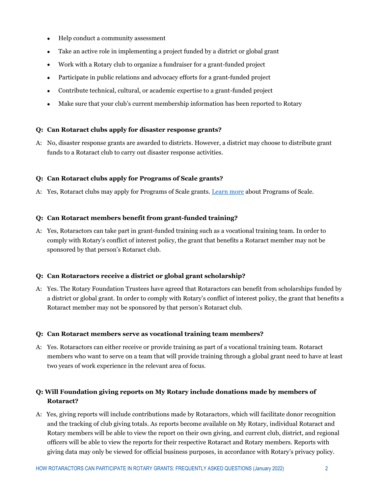- Help conduct a community assessment
- Take an active role in implementing a project funded by a district or global grant
- Work with a Rotary club to organize a fundraiser for a grant-funded project
- Participate in public relations and advocacy efforts for a grant-funded project
- Contribute technical, cultural, or academic expertise to a grant-funded project
- Make sure that your club's current membership information has been reported to Rotary

## **Q: Can Rotaract clubs apply for disaster response grants?**

A: No, disaster response grants are awarded to districts. However, a district may choose to distribute grant funds to a Rotaract club to carry out disaster response activities.

## **Q: Can Rotaract clubs apply for Programs of Scale grants?**

A: Yes, Rotaract clubs may apply for Programs of Scale grants[. Learn more](https://my.rotary.org/en/take-action/apply-grants/programs-scale-grants) about Programs of Scale.

## **Q: Can Rotaract members benefit from grant-funded training?**

A: Yes, Rotaractors can take part in grant-funded training such as a vocational training team. In order to comply with Rotary's conflict of interest policy, the grant that benefits a Rotaract member may not be sponsored by that person's Rotaract club.

## **Q: Can Rotaractors receive a district or global grant scholarship?**

A: Yes. The Rotary Foundation Trustees have agreed that Rotaractors can benefit from scholarships funded by a district or global grant. In order to comply with Rotary's conflict of interest policy, the grant that benefits a Rotaract member may not be sponsored by that person's Rotaract club.

## **Q: Can Rotaract members serve as vocational training team members?**

A: Yes. Rotaractors can either receive or provide training as part of a vocational training team. Rotaract members who want to serve on a team that will provide training through a global grant need to have at least two years of work experience in the relevant area of focus.

# **Q: Will Foundation giving reports on My Rotary include donations made by members of Rotaract?**

A: Yes, giving reports will include contributions made by Rotaractors, which will facilitate donor recognition and the tracking of club giving totals. As reports become available on My Rotary, individual Rotaract and Rotary members will be able to view the report on their own giving, and current club, district, and regional officers will be able to view the reports for their respective Rotaract and Rotary members. Reports with giving data may only be viewed for official business purposes, in accordance with Rotary's privacy policy.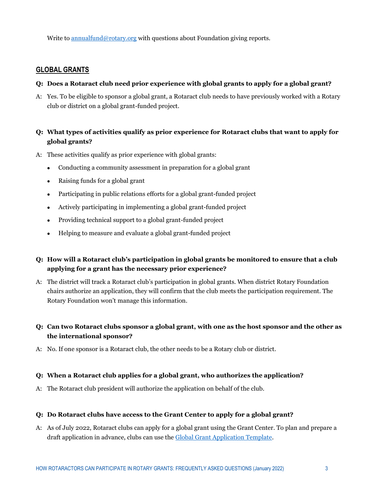Write to [annualfund@rotary.org](mailto:annualfund@rotary.org) with questions about Foundation giving reports.

## **GLOBAL GRANTS**

## **Q: Does a Rotaract club need prior experience with global grants to apply for a global grant?**

A: Yes. To be eligible to sponsor a global grant, a Rotaract club needs to have previously worked with a Rotary club or district on a global grant-funded project.

# **Q: What types of activities qualify as prior experience for Rotaract clubs that want to apply for global grants?**

- A: These activities qualify as prior experience with global grants:
	- Conducting a community assessment in preparation for a global grant
	- Raising funds for a global grant
	- Participating in public relations efforts for a global grant-funded project
	- Actively participating in implementing a global grant-funded project
	- Providing technical support to a global grant-funded project
	- Helping to measure and evaluate a global grant-funded project

# **Q: How will a Rotaract club's participation in global grants be monitored to ensure that a club applying for a grant has the necessary prior experience?**

A: The district will track a Rotaract club's participation in global grants. When district Rotary Foundation chairs authorize an application, they will confirm that the club meets the participation requirement. The Rotary Foundation won't manage this information.

# **Q: Can two Rotaract clubs sponsor a global grant, with one as the host sponsor and the other as the international sponsor?**

A: No. If one sponsor is a Rotaract club, the other needs to be a Rotary club or district.

## **Q: When a Rotaract club applies for a global grant, who authorizes the application?**

A: The Rotaract club president will authorize the application on behalf of the club.

## **Q: Do Rotaract clubs have access to the Grant Center to apply for a global grant?**

A: As of July 2022, Rotaract clubs can apply for a global grant using the Grant Center. To plan and prepare a draft application in advance, clubs can use the [Global Grant Application Template.](https://my-cms.rotary.org/en/document/global-grant-application-template)